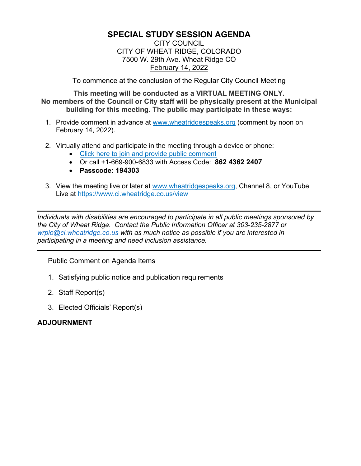# **SPECIAL STUDY SESSION AGENDA**

#### CITY COUNCIL CITY OF WHEAT RIDGE, COLORADO 7500 W. 29th Ave. Wheat Ridge CO February 14, 2022

To commence at the conclusion of the Regular City Council Meeting

**This meeting will be conducted as a VIRTUAL MEETING ONLY. No members of the Council or City staff will be physically present at the Municipal building for this meeting. The public may participate in these ways:**

- 1. Provide comment in advance at [www.wheatridgespeaks.org](http://www.wheatridgespeaks.org/) (comment by noon on February 14, 2022).
- 2. Virtually attend and participate in the meeting through a device or phone:
	- [Click here to join and provide public comment](https://us06web.zoom.us/j/86243622407)
	- Or call +1-669-900-6833 with Access Code: **862 4362 2407**
	- **Passcode: 194303**
- 3. View the meeting live or later at [www.wheatridgespeaks.org,](http://www.wheatridgespeaks.org/) Channel 8, or YouTube Live at<https://www.ci.wheatridge.co.us/view>

*Individuals with disabilities are encouraged to participate in all public meetings sponsored by the City of Wheat Ridge. Contact the Public Information Officer at 303-235-2877 or [wrpio@ci.wheatridge.co.us](mailto:wrpio@ci.wheatridge.co.us) with as much notice as possible if you are interested in participating in a meeting and need inclusion assistance.*

Public Comment on Agenda Items

- 1. Satisfying public notice and publication requirements
- 2. Staff Report(s)
- 3. Elected Officials' Report(s)

## **ADJOURNMENT**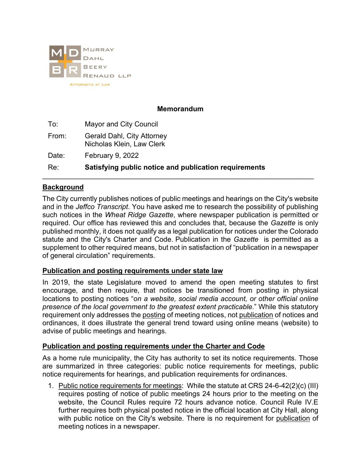

## **Memorandum**

| To:   | Mayor and City Council                                         |
|-------|----------------------------------------------------------------|
| From: | <b>Gerald Dahl, City Attorney</b><br>Nicholas Klein, Law Clerk |
| Date: | <b>February 9, 2022</b>                                        |
| Re:   | Satisfying public notice and publication requirements          |

## **Background**

The City currently publishes notices of public meetings and hearings on the City's website and in the *Jeffco Transcript*. You have asked me to research the possibility of publishing such notices in the *Wheat Ridge Gazette*, where newspaper publication is permitted or required. Our office has reviewed this and concludes that, because the *Gazette* is only published monthly, it does not qualify as a legal publication for notices under the Colorado statute and the City's Charter and Code. Publication in the *Gazette* is permitted as a supplement to other required means, but not in satisfaction of "publication in a newspaper of general circulation" requirements.

## **Publication and posting requirements under state law**

In 2019, the state Legislature moved to amend the open meeting statutes to first encourage, and then require, that notices be transitioned from posting in physical locations to posting notices "*on a website, social media account, or other official online presence of the local government to the greatest extent practicable*." While this statutory requirement only addresses the posting of meeting notices, not publication of notices and ordinances, it does illustrate the general trend toward using online means (website) to advise of public meetings and hearings.

## **Publication and posting requirements under the Charter and Code**

As a home rule municipality, the City has authority to set its notice requirements. Those are summarized in three categories: public notice requirements for meetings, public notice requirements for hearings, and publication requirements for ordinances.

1. Public notice requirements for meetings: While the statute at CRS 24-6-42(2)(c) (III) requires posting of notice of public meetings 24 hours prior to the meeting on the website, the Council Rules require 72 hours advance notice. Council Rule IV.E further requires both physical posted notice in the official location at City Hall, along with public notice on the City's website. There is no requirement for publication of meeting notices in a newspaper.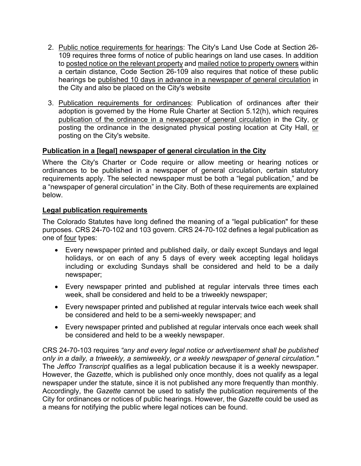- 2. Public notice requirements for hearings: The City's Land Use Code at Section 26- 109 requires three forms of notice of public hearings on land use cases. In addition to posted notice on the relevant property and mailed notice to property owners within a certain distance, Code Section 26-109 also requires that notice of these public hearings be published 10 days in advance in a newspaper of general circulation in the City and also be placed on the City's website
- 3. Publication requirements for ordinances: Publication of ordinances after their adoption is governed by the Home Rule Charter at Section 5.12(h), which requires publication of the ordinance in a newspaper of general circulation in the City, or posting the ordinance in the designated physical posting location at City Hall, or posting on the City's website.

## **Publication in a [legal] newspaper of general circulation in the City**

Where the City's Charter or Code require or allow meeting or hearing notices or ordinances to be published in a newspaper of general circulation, certain statutory requirements apply. The selected newspaper must be both a "legal publication," and be a "newspaper of general circulation" in the City. Both of these requirements are explained below.

#### **Legal publication requirements**

The Colorado Statutes have long defined the meaning of a "legal publication" for these purposes. CRS 24-70-102 and 103 govern. CRS 24-70-102 defines a legal publication as one of four types:

- Every newspaper printed and published daily, or daily except Sundays and legal holidays, or on each of any 5 days of every week accepting legal holidays including or excluding Sundays shall be considered and held to be a daily newspaper;
- Every newspaper printed and published at regular intervals three times each week, shall be considered and held to be a triweekly newspaper;
- Every newspaper printed and published at regular intervals twice each week shall be considered and held to be a semi-weekly newspaper; and
- Every newspaper printed and published at regular intervals once each week shall be considered and held to be a weekly newspaper.

CRS 24-70-103 requires *"any and every legal notice or advertisement shall be published only in a daily, a triweekly, a semiweekly, or a weekly newspaper of general circulation."*  The *Jeffco Transcript* qualifies as a legal publication because it is a weekly newspaper. However, the *Gazette*, which is published only once monthly, does not qualify as a legal newspaper under the statute, since it is not published any more frequently than monthly. Accordingly, the *Gazette* cannot be used to satisfy the publication requirements of the City for ordinances or notices of public hearings. However, the *Gazette* could be used as a means for notifying the public where legal notices can be found.